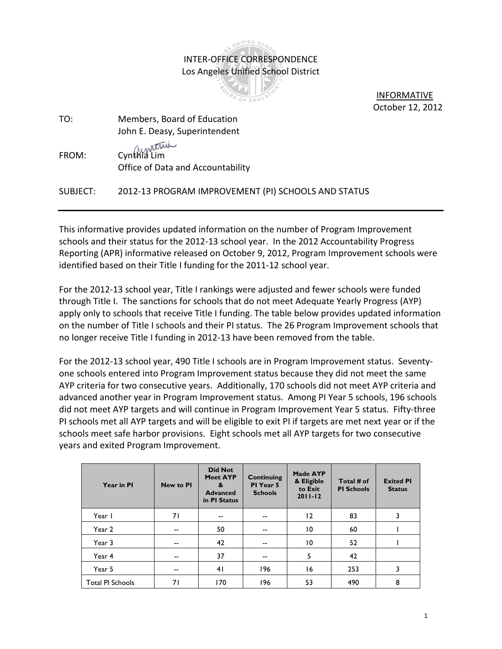## INIFIED SC INTER-OFFICE CORRESPONDENCE Los Angeles Unified School District

OF EDUCA

 INFORMATIVE October 12, 2012

TO: Members, Board of Education John E. Deasy, Superintendent FROM: Cynthia Lim

Office of Data and Accountability

## SUBJECT: 2012-13 PROGRAM IMPROVEMENT (PI) SCHOOLS AND STATUS

This informative provides updated information on the number of Program Improvement schools and their status for the 2012-13 school year. In the 2012 Accountability Progress Reporting (APR) informative released on October 9, 2012, Program Improvement schools were identified based on their Title I funding for the 2011-12 school year.

For the 2012-13 school year, Title I rankings were adjusted and fewer schools were funded through Title I. The sanctions for schools that do not meet Adequate Yearly Progress (AYP) apply only to schools that receive Title I funding. The table below provides updated information on the number of Title I schools and their PI status. The 26 Program Improvement schools that no longer receive Title I funding in 2012-13 have been removed from the table.

For the 2012-13 school year, 490 Title I schools are in Program Improvement status. Seventyone schools entered into Program Improvement status because they did not meet the same AYP criteria for two consecutive years. Additionally, 170 schools did not meet AYP criteria and advanced another year in Program Improvement status. Among PI Year 5 schools, 196 schools did not meet AYP targets and will continue in Program Improvement Year 5 status. Fifty-three PI schools met all AYP targets and will be eligible to exit PI if targets are met next year or if the schools meet safe harbor provisions. Eight schools met all AYP targets for two consecutive years and exited Program Improvement.

| Year in PI              | <b>New to Pl</b> | <b>Did Not</b><br><b>Meet AYP</b><br>&<br><b>Advanced</b><br>in PI Status | Continuing<br>PI Year 5<br><b>Schools</b> | Made AYP<br>& Eligible<br>to Exit<br>$2011 - 12$ | Total # of<br><b>PI Schools</b> | <b>Exited PI</b><br><b>Status</b> |
|-------------------------|------------------|---------------------------------------------------------------------------|-------------------------------------------|--------------------------------------------------|---------------------------------|-----------------------------------|
| Year I                  | 71               | $-$                                                                       | $\overline{\phantom{a}}$                  | 12                                               | 83                              | 3                                 |
| Year 2                  | $- -$            | 50                                                                        | $-$                                       | $\overline{10}$                                  | 60                              |                                   |
| Year 3                  | --               | 42                                                                        | $- -$                                     | $\overline{10}$                                  | 52                              |                                   |
| Year 4                  | --               | 37                                                                        | $-$                                       | 5                                                | 42                              |                                   |
| Year 5                  | --               | 41                                                                        | 196                                       | 16                                               | 253                             | 3                                 |
| <b>Total PI Schools</b> | 71               | 170                                                                       | 196                                       | 53                                               | 490                             | 8                                 |